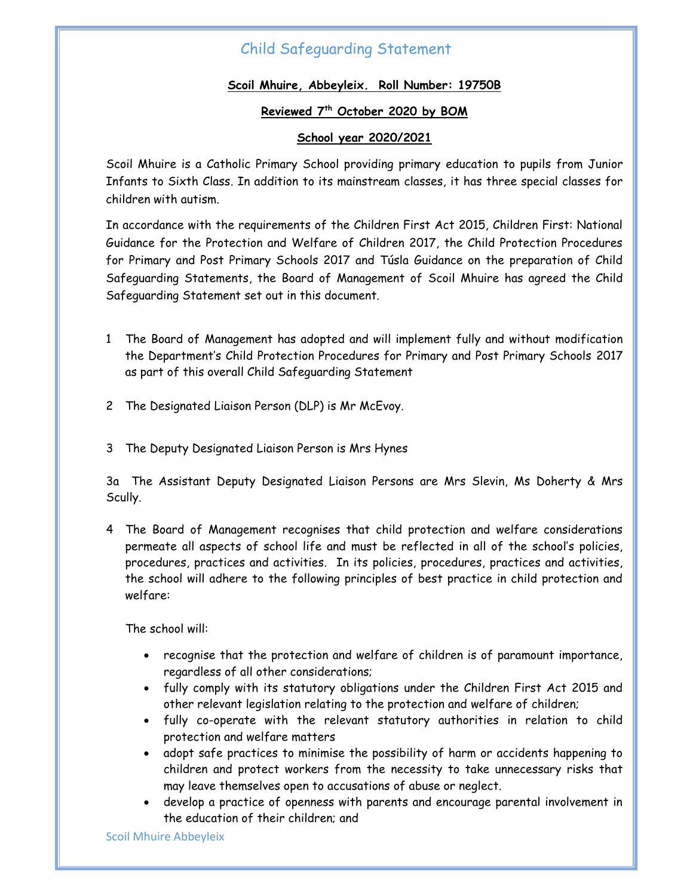# Child Safeguarding Statement

### **Scoil Mhuire, Abbeyleix. Roll Number: 19750B**

#### **Reviewed 7 th October 2020 by BOM**

### **School year 2020/2021**

Scoil Mhuire is a Catholic Primary School providing primary education to pupils from Junior Infants to Sixth Class. In addition to its mainstream classes, it has three special classes for children with autism.

In accordance with the requirements of the Children First Act 2015, Children First: National Guidance for the Protection and Welfare of Children 2017, the Child Protection Procedures for Primary and Post Primary Schools 2017 and Túsla Guidance on the preparation of Child Safeguarding Statements, the Board of Management of Scoil Mhuire has agreed the Child Safeguarding Statement set out in this document.

- 1 The Board of Management has adopted and will implement fully and without modification the Department's Child Protection Procedures for Primary and Post Primary Schools 2017 as part of this overall Child Safeguarding Statement
- 2 The Designated Liaison Person (DLP) is Mr McEvoy.
- 3 The Deputy Designated Liaison Person is Mrs Hynes

3a The Assistant Deputy Designated Liaison Persons are Mrs Slevin, Ms Doherty & Mrs Scully.

4 The Board of Management recognises that child protection and welfare considerations permeate all aspects of school life and must be reflected in all of the school's policies, procedures, practices and activities. In its policies, procedures, practices and activities, the school will adhere to the following principles of best practice in child protection and welfare:

The school will:

- recognise that the protection and welfare of children is of paramount importance, regardless of all other considerations;
- fully comply with its statutory obligations under the Children First Act 2015 and other relevant legislation relating to the protection and welfare of children;
- fully co-operate with the relevant statutory authorities in relation to child protection and welfare matters
- adopt safe practices to minimise the possibility of harm or accidents happening to children and protect workers from the necessity to take unnecessary risks that may leave themselves open to accusations of abuse or neglect.
- develop a practice of openness with parents and encourage parental involvement in the education of their children; and

Scoil Mhuire Abbeyleix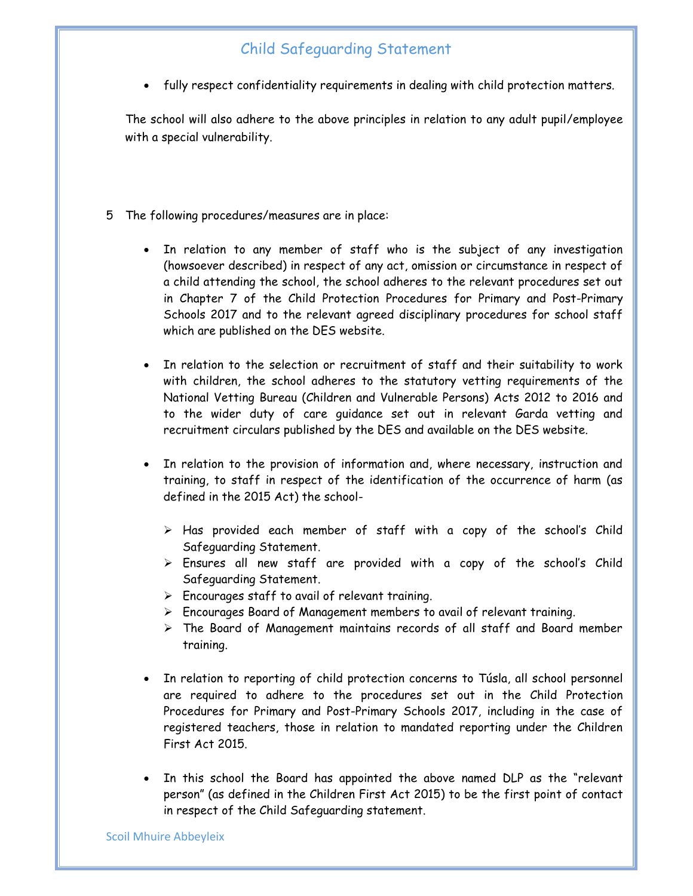# Child Safeguarding Statement

fully respect confidentiality requirements in dealing with child protection matters.

The school will also adhere to the above principles in relation to any adult pupil/employee with a special vulnerability.

- 5 The following procedures/measures are in place:
	- In relation to any member of staff who is the subject of any investigation (howsoever described) in respect of any act, omission or circumstance in respect of a child attending the school, the school adheres to the relevant procedures set out in Chapter 7 of the Child Protection Procedures for Primary and Post-Primary Schools 2017 and to the relevant agreed disciplinary procedures for school staff which are published on the DES website.
	- In relation to the selection or recruitment of staff and their suitability to work with children, the school adheres to the statutory vetting requirements of the National Vetting Bureau (Children and Vulnerable Persons) Acts 2012 to 2016 and to the wider duty of care guidance set out in relevant Garda vetting and recruitment circulars published by the DES and available on the DES website.
	- In relation to the provision of information and, where necessary, instruction and training, to staff in respect of the identification of the occurrence of harm (as defined in the 2015 Act) the school-
		- > Has provided each member of staff with a copy of the school's Child Safeguarding Statement.
		- $\triangleright$  Ensures all new staff are provided with a copy of the school's Child Safeguarding Statement.
		- $\triangleright$  Encourages staff to avail of relevant training.
		- Encourages Board of Management members to avail of relevant training.
		- $\triangleright$  The Board of Management maintains records of all staff and Board member training.
	- In relation to reporting of child protection concerns to Túsla, all school personnel are required to adhere to the procedures set out in the Child Protection Procedures for Primary and Post-Primary Schools 2017, including in the case of registered teachers, those in relation to mandated reporting under the Children First Act 2015.
	- In this school the Board has appointed the above named DLP as the "relevant person" (as defined in the Children First Act 2015) to be the first point of contact in respect of the Child Safeguarding statement.